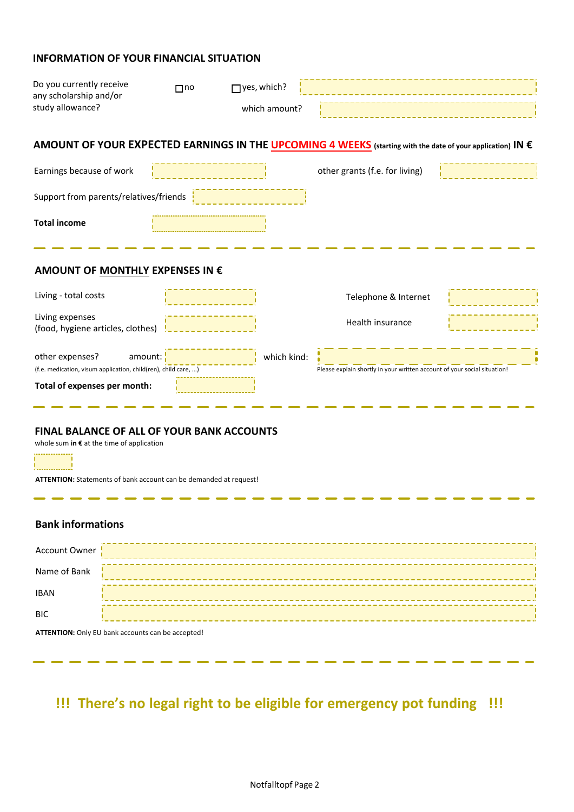## **INFORMATION OF YOUR FINANCIAL SITUATION**

| Do you currently receive<br>any scholarship and/or<br>study allowance?                                                     | $\Box$ no | $\Box$ yes, which?<br>which amount? |                                                                                                                                                                                                            |  |  |  |
|----------------------------------------------------------------------------------------------------------------------------|-----------|-------------------------------------|------------------------------------------------------------------------------------------------------------------------------------------------------------------------------------------------------------|--|--|--|
| AMOUNT OF YOUR EXPECTED EARNINGS IN THE UPCOMING 4 WEEKS (starting with the date of your application) IN €                 |           |                                     |                                                                                                                                                                                                            |  |  |  |
| Earnings because of work                                                                                                   |           |                                     | other grants (f.e. for living)                                                                                                                                                                             |  |  |  |
| Support from parents/relatives/friends                                                                                     |           |                                     |                                                                                                                                                                                                            |  |  |  |
| <b>Total income</b>                                                                                                        |           |                                     |                                                                                                                                                                                                            |  |  |  |
|                                                                                                                            |           |                                     |                                                                                                                                                                                                            |  |  |  |
| AMOUNT OF MONTHLY EXPENSES IN €                                                                                            |           |                                     |                                                                                                                                                                                                            |  |  |  |
| Living - total costs                                                                                                       |           |                                     | Telephone & Internet                                                                                                                                                                                       |  |  |  |
| Living expenses<br>(food, hygiene articles, clothes)                                                                       |           |                                     | Health insurance                                                                                                                                                                                           |  |  |  |
| other expenses?<br>amount:<br>(f.e. medication, visum application, child(ren), child care,<br>Total of expenses per month: |           | which kind:                         | Please explain shortly in your written account of your social situation!<br>ATTENTION: If your "other expenses" is more than €100,-- we kindly ask<br>you to send us invoices/receipts for those expenses! |  |  |  |

# **FINAL BALANCE OF ALL OF YOUR BANK ACCOUNTS**

whole sum **in €** at the time of application

 $\overline{\phantom{a}}$ 

**ATTENTION:** Statements of bank account can be demanded at request!

## **Bank informations**

 $\sim$ s a a sa . .

 $\overline{\phantom{a}}$ 

<u>! . . . . . . . . . . . . . . 1</u>

 $\overline{\phantom{0}}$ 

| Account Owner |  |
|---------------|--|
| Name of Bank  |  |
| <b>IBAN</b>   |  |
| <b>BIC</b>    |  |
|               |  |

 $\overline{\phantom{a}}$ . .

**ATTENTION:** Only EU bank accounts can be accepted!

 $\overline{\phantom{a}}$ 

# **!!! There's no legal right to be eligible for emergency pot funding !!!**

s.

. . .

a se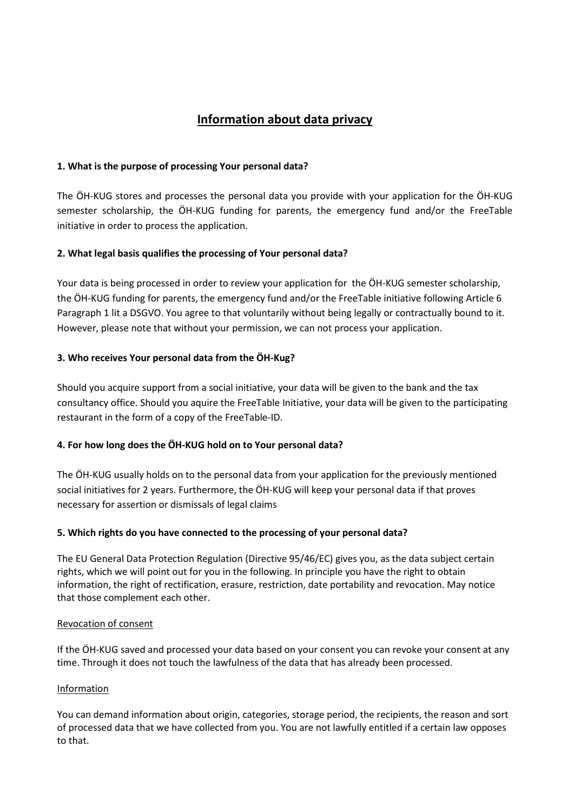# **Information about data privacy**

## **1. What is the purpose of processing Your personal data?**

The ÖH-KUG stores and processes the personal data you provide with your application for the ÖH-KUG semester scholarship, the ÖH-KUG funding for parents, the emergency fund and/or the FreeTable initiative in order to process the application.

# **2. What legal basis qualifies the processing of Your personal data?**

Your data is being processed in order to review your application for the ÖH-KUG semester scholarship, the ÖH-KUG funding for parents, the emergency fund and/or the FreeTable initiative following Article 6 Paragraph 1 lit a DSGVO. You agree to that voluntarily without being legally or contractually bound to it. However, please note that without your permission, we can not process your application.

# **3. Who receives Your personal data from the ÖH-Kug?**

Should you acquire support from a social initiative, your data will be given to the bank and the tax consultancy office. Should you aquire the FreeTable Initiative, your data will be given to the participating restaurant in the form of a copy of the FreeTable-ID.

#### **4. For how long does the ÖH-KUG hold on to Your personal data?**

The ÖH-KUG usually holds on to the personal data from your application for the previously mentioned social initiatives for 2 years. Furthermore, the ÖH-KUG will keep your personal data if that proves necessary for assertion or dismissals of legal claims

#### **5. Which rights do you have connected to the processing of your personal data?**

The EU General Data Protection Regulation (Directive 95/46/EC) gives you, as the data subject certain rights, which we will point out for you in the following. In principle you have the right to obtain information, the right of rectification, erasure, restriction, date portability and revocation. May notice that those complement each other.

#### Revocation of consent

If the ÖH-KUG saved and processed your data based on your consent you can revoke your consent at any time. Through it does not touch the lawfulness of the data that has already been processed.

#### Information

You can demand information about origin, categories, storage period, the recipients, the reason and sort of processed data that we have collected from you. You are not lawfully entitled if a certain law opposes to that.